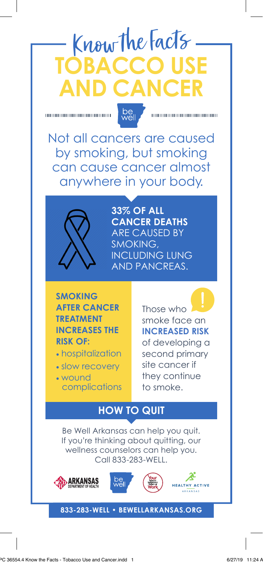# Know the Facts **TOBACCO ANCE**



000000000000000000000000

Not all cancers are caused by smoking, but smoking can cause cancer almost anywhere in your body.



**33% OF ALL CANCER DEATHS** ARE CAUSED BY SMOKING, INCLUDING LUNG AND PANCREAS.

**SMOKING AFTER CANCER TREATMENT INCREASES THE RISK OF:** 

- hospitalization
- slow recovery
- wound complications

Those who smoke face an **INCREASED RISK** of developing a second primary site cancer if they continue to smoke.

### **HOW TO QUIT**

Be Well Arkansas can help you quit. If you're thinking about quitting, our wellness counselors can help you. Call 833-283-WELL.









#### **833-283-WELL • BEWELLARKANSAS.ORG**